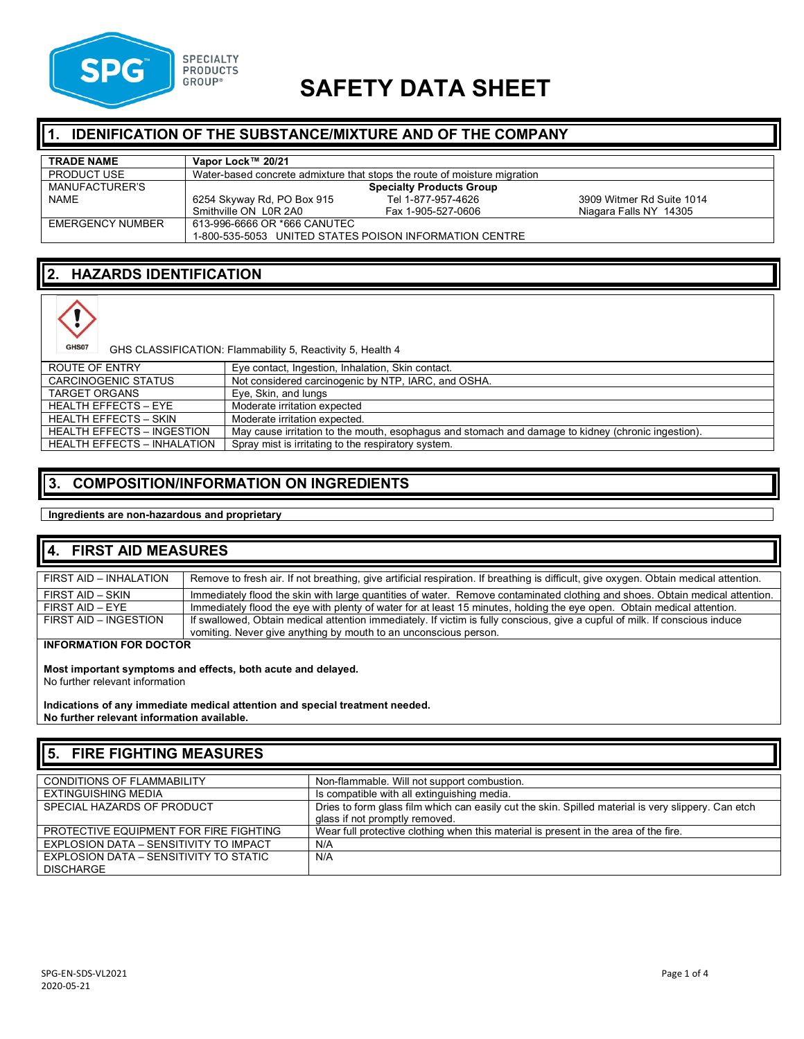

# **SAFETY DATA SHEET**

#### **IDENIFICATION OF THE SUBSTANCE/MIXTURE AND OF THE COMPANY**

| <b>TRADE NAME</b>       | Vapor Lock™ 20/21                                                         |                    |                           |
|-------------------------|---------------------------------------------------------------------------|--------------------|---------------------------|
| <b>PRODUCT USE</b>      | Water-based concrete admixture that stops the route of moisture migration |                    |                           |
| MANUFACTURER'S          | <b>Specialty Products Group</b>                                           |                    |                           |
| <b>NAME</b>             | 6254 Skyway Rd, PO Box 915                                                | Tel 1-877-957-4626 | 3909 Witmer Rd Suite 1014 |
|                         | Smithville ON LOR 2A0                                                     | Fax 1-905-527-0606 | Niagara Falls NY 14305    |
| <b>EMERGENCY NUMBER</b> | 613-996-6666 OR *666 CANUTEC                                              |                    |                           |
|                         | 1-800-535-5053 UNITED STATES POISON INFORMATION CENTRE                    |                    |                           |

### **2. HAZARDS IDENTIFICATION**



GHS CLASSIFICATION: Flammability 5, Reactivity 5, Health 4

| ROUTE OF ENTRY                     | Eye contact, Ingestion, Inhalation, Skin contact.                                                  |
|------------------------------------|----------------------------------------------------------------------------------------------------|
| <b>CARCINOGENIC STATUS</b>         | Not considered carcinogenic by NTP, IARC, and OSHA.                                                |
| <b>TARGET ORGANS</b>               | Eye, Skin, and lungs                                                                               |
| HEALTH EFFECTS – EYE               | Moderate irritation expected                                                                       |
| <b>HEALTH EFFECTS - SKIN</b>       | Moderate irritation expected.                                                                      |
| <b>HEALTH EFFECTS - INGESTION</b>  | May cause irritation to the mouth, esophagus and stomach and damage to kidney (chronic ingestion). |
| <b>HEALTH EFFECTS - INHALATION</b> | Spray mist is irritating to the respiratory system.                                                |

#### **3. COMPOSITION/INFORMATION ON INGREDIENTS**

**Ingredients are non-hazardous and proprietary** 

#### **4. FIRST AID MEASURES**

| FIRST AID - INHALATION | Remove to fresh air. If not breathing, give artificial respiration. If breathing is difficult, give oxygen. Obtain medical attention. |
|------------------------|---------------------------------------------------------------------------------------------------------------------------------------|
|                        |                                                                                                                                       |
| FIRST AID - SKIN       | Immediately flood the skin with large quantities of water. Remove contaminated clothing and shoes. Obtain medical attention.          |
|                        |                                                                                                                                       |
| FIRST AID - FYF        | Immediately flood the eye with plenty of water for at least 15 minutes, holding the eye open. Obtain medical attention.               |
|                        |                                                                                                                                       |
| FIRST AID - INGESTION  | If swallowed, Obtain medical attention immediately. If victim is fully conscious, give a cupful of milk. If conscious induce          |
|                        | vomiting. Never give anything by mouth to an unconscious person.                                                                      |

**INFORMATION FOR DOCTOR**

**Most important symptoms and effects, both acute and delayed.**

No further relevant information

**Indications of any immediate medical attention and special treatment needed. No further relevant information available.**

## **5. FIRE FIGHTING MEASURES**

| <b>CONDITIONS OF FLAMMABILITY</b>      | Non-flammable. Will not support combustion.                                                         |
|----------------------------------------|-----------------------------------------------------------------------------------------------------|
| EXTINGUISHING MEDIA                    | Is compatible with all extinguishing media.                                                         |
| SPECIAL HAZARDS OF PRODUCT             | Dries to form glass film which can easily cut the skin. Spilled material is very slippery. Can etch |
|                                        | glass if not promptly removed.                                                                      |
| PROTECTIVE EQUIPMENT FOR FIRE FIGHTING | Wear full protective clothing when this material is present in the area of the fire.                |
| EXPLOSION DATA - SENSITIVITY TO IMPACT | N/A                                                                                                 |
| EXPLOSION DATA – SENSITIVITY TO STATIC | N/A                                                                                                 |
| <b>DISCHARGE</b>                       |                                                                                                     |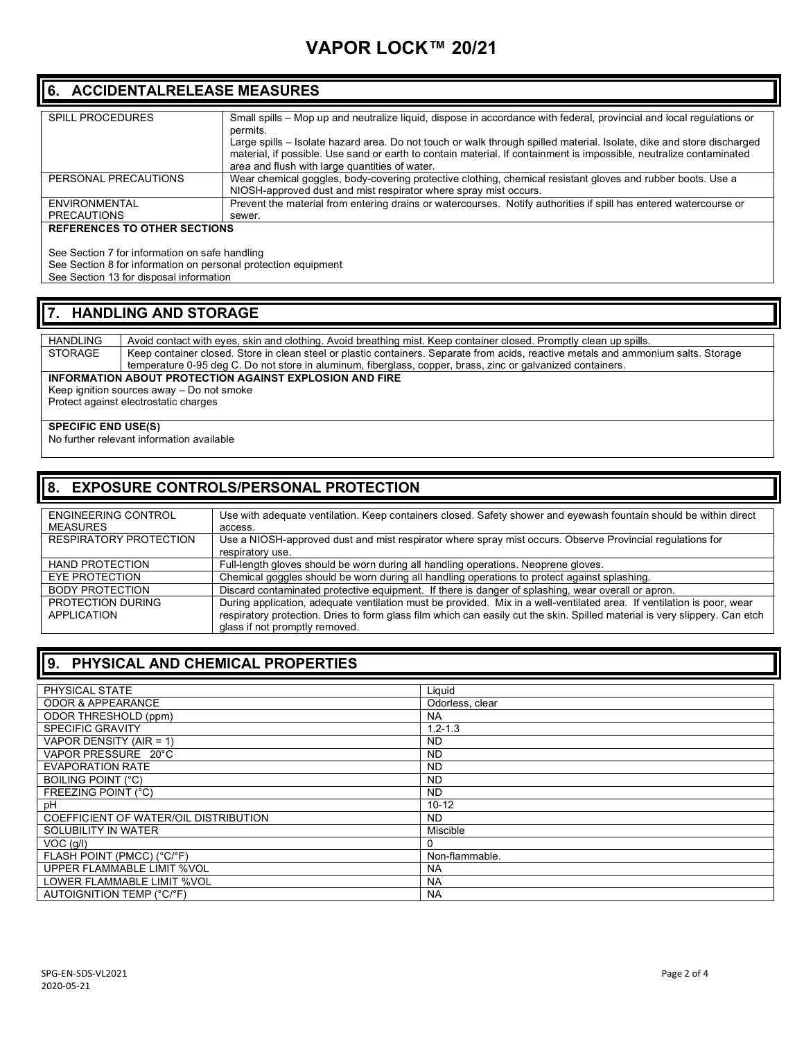## **VAPOR LOCK™ 20/21**

#### **6. ACCIDENTALRELEASE MEASURES**

| <b>SPILL PROCEDURES</b> | Small spills – Mop up and neutralize liquid, dispose in accordance with federal, provincial and local regulations or  |
|-------------------------|-----------------------------------------------------------------------------------------------------------------------|
|                         | permits.                                                                                                              |
|                         | Large spills – Isolate hazard area. Do not touch or walk through spilled material. Isolate, dike and store discharged |
|                         | material, if possible. Use sand or earth to contain material. If containment is impossible, neutralize contaminated   |
|                         | area and flush with large quantities of water.                                                                        |
| PERSONAL PRECAUTIONS    | Wear chemical goggles, body-covering protective clothing, chemical resistant gloves and rubber boots. Use a           |
|                         | NIOSH-approved dust and mist respirator where spray mist occurs.                                                      |
| ENVIRONMENTAL           | Prevent the material from entering drains or watercourses. Notify authorities if spill has entered watercourse or     |
| <b>PRECAUTIONS</b>      | sewer.                                                                                                                |
|                         |                                                                                                                       |

#### **REFERENCES TO OTHER SECTIONS**

See Section 7 for information on safe handling

See Section 8 for information on personal protection equipment

See Section 13 for disposal information

#### **7. HANDLING AND STORAGE**

HANDLING Avoid contact with eyes, skin and clothing. Avoid breathing mist. Keep container closed. Promptly clean up spills.<br>STORAGE Keep container closed. Store in clean steel or plastic containers. Separate from acids, re Keep container closed. Store in clean steel or plastic containers. Separate from acids, reactive metals and ammonium salts. Storage temperature 0-95 deg C. Do not store in aluminum, fiberglass, copper, brass, zinc or galvanized containers.

#### **INFORMATION ABOUT PROTECTION AGAINST EXPLOSION AND FIRE**

Keep ignition sources away – Do not smoke Protect against electrostatic charges

#### **SPECIFIC END USE(S)**

No further relevant information available

#### **8. EXPOSURE CONTROLS/PERSONAL PROTECTION**

| <b>ENGINEERING CONTROL</b><br><b>MEASURES</b> | Use with adequate ventilation. Keep containers closed. Safety shower and eyewash fountain should be within direct<br>access. |
|-----------------------------------------------|------------------------------------------------------------------------------------------------------------------------------|
|                                               |                                                                                                                              |
| <b>RESPIRATORY PROTECTION</b>                 | Use a NIOSH-approved dust and mist respirator where spray mist occurs. Observe Provincial regulations for                    |
|                                               | respiratory use.                                                                                                             |
| <b>HAND PROTECTION</b>                        | Full-length gloves should be worn during all handling operations. Neoprene gloves.                                           |
| EYE PROTECTION                                | Chemical goggles should be worn during all handling operations to protect against splashing.                                 |
| <b>BODY PROTECTION</b>                        | Discard contaminated protective equipment. If there is danger of splashing, wear overall or apron.                           |
| PROTECTION DURING                             | During application, adequate ventilation must be provided. Mix in a well-ventilated area. If ventilation is poor, wear       |
| <b>APPLICATION</b>                            | respiratory protection. Dries to form glass film which can easily cut the skin. Spilled material is very slippery. Can etch  |
|                                               | glass if not promptly removed.                                                                                               |

#### **9. PHYSICAL AND CHEMICAL PROPERTIES**

| PHYSICAL STATE                        | Liquid          |
|---------------------------------------|-----------------|
| <b>ODOR &amp; APPEARANCE</b>          | Odorless, clear |
| ODOR THRESHOLD (ppm)                  | <b>NA</b>       |
| <b>SPECIFIC GRAVITY</b>               | $1.2 - 1.3$     |
| VAPOR DENSITY (AIR = 1)               | ND.             |
| VAPOR PRESSURE 20°C                   | <b>ND</b>       |
| <b>EVAPORATION RATE</b>               | ND.             |
| <b>BOILING POINT (°C)</b>             | <b>ND</b>       |
| FREEZING POINT (°C)                   | <b>ND</b>       |
| pH                                    | $10 - 12$       |
| COEFFICIENT OF WATER/OIL DISTRIBUTION | ND.             |
| SOLUBILITY IN WATER                   | Miscible        |
| $\overline{V}OC$ (g/l)                | 0               |
| FLASH POINT (PMCC) (°C/°F)            | Non-flammable.  |
| UPPER FLAMMABLE LIMIT %VOL            | NA.             |
| LOWER FLAMMABLE LIMIT %VOL            | <b>NA</b>       |
| AUTOIGNITION TEMP (°C/°F)             | <b>NA</b>       |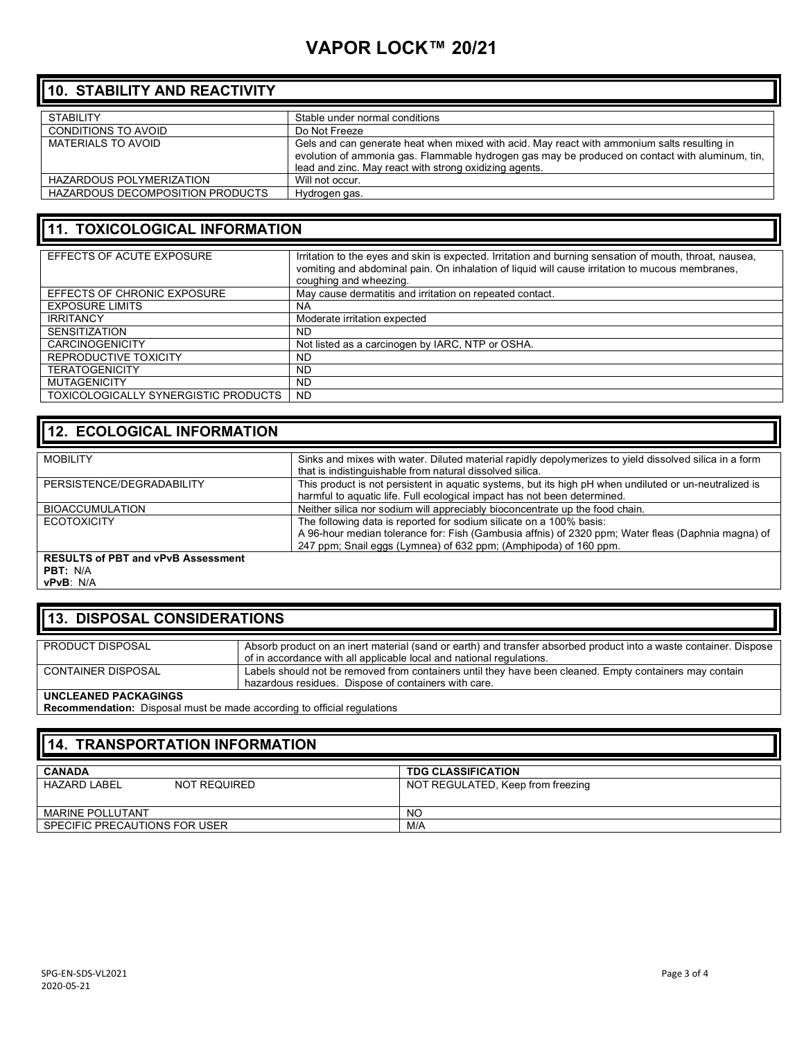## **VAPOR LOCK™ 20/21**

## **10. STABILITY AND REACTIVITY**

| <b>STABILITY</b>                        | Stable under normal conditions                                                                  |
|-----------------------------------------|-------------------------------------------------------------------------------------------------|
| CONDITIONS TO AVOID                     | Do Not Freeze                                                                                   |
| MATERIALS TO AVOID                      | Gels and can generate heat when mixed with acid. May react with ammonium salts resulting in     |
|                                         | evolution of ammonia gas. Flammable hydrogen gas may be produced on contact with aluminum, tin, |
|                                         | lead and zinc. May react with strong oxidizing agents.                                          |
| HAZARDOUS POLYMERIZATION                | Will not occur.                                                                                 |
| <b>HAZARDOUS DECOMPOSITION PRODUCTS</b> | Hydrogen gas.                                                                                   |

### **11. TOXICOLOGICAL INFORMATION**

| EFFECTS OF ACUTE EXPOSURE            | Irritation to the eyes and skin is expected. Irritation and burning sensation of mouth, throat, nausea,<br>vomiting and abdominal pain. On inhalation of liquid will cause irritation to mucous membranes,<br>coughing and wheezing. |
|--------------------------------------|--------------------------------------------------------------------------------------------------------------------------------------------------------------------------------------------------------------------------------------|
| EFFECTS OF CHRONIC EXPOSURE          | May cause dermatitis and irritation on repeated contact.                                                                                                                                                                             |
| <b>EXPOSURE LIMITS</b>               | NA                                                                                                                                                                                                                                   |
| <b>IRRITANCY</b>                     | Moderate irritation expected                                                                                                                                                                                                         |
| <b>SENSITIZATION</b>                 | <b>ND</b>                                                                                                                                                                                                                            |
| <b>CARCINOGENICITY</b>               | Not listed as a carcinogen by IARC, NTP or OSHA.                                                                                                                                                                                     |
| REPRODUCTIVE TOXICITY                | <b>ND</b>                                                                                                                                                                                                                            |
| <b>TERATOGENICITY</b>                | <b>ND</b>                                                                                                                                                                                                                            |
| <b>MUTAGENICITY</b>                  | <b>ND</b>                                                                                                                                                                                                                            |
| TOXICOLOGICALLY SYNERGISTIC PRODUCTS | <b>ND</b>                                                                                                                                                                                                                            |

### **12. ECOLOGICAL INFORMATION**

| <b>MOBILITY</b>                           | Sinks and mixes with water. Diluted material rapidly depolymerizes to yield dissolved silica in a form |
|-------------------------------------------|--------------------------------------------------------------------------------------------------------|
|                                           |                                                                                                        |
|                                           | that is indistinguishable from natural dissolved silica.                                               |
| PERSISTENCE/DEGRADABILITY                 | This product is not persistent in aquatic systems, but its high pH when undiluted or un-neutralized is |
|                                           | harmful to aquatic life. Full ecological impact has not been determined.                               |
| <b>BIOACCUMULATION</b>                    | Neither silica nor sodium will appreciably bioconcentrate up the food chain.                           |
| <b>ECOTOXICITY</b>                        | The following data is reported for sodium silicate on a 100% basis:                                    |
|                                           | A 96-hour median tolerance for: Fish (Gambusia affnis) of 2320 ppm; Water fleas (Daphnia magna) of     |
|                                           | 247 ppm; Snail eggs (Lymnea) of 632 ppm; (Amphipoda) of 160 ppm.                                       |
| <b>RESULTS of PBT and vPvB Assessment</b> |                                                                                                        |

#### **RESULTS of PBT and vPvB Assessment**

**PBT:** N/A **vPvB**: N/A

### **13. DISPOSAL CONSIDERATIONS**

| PRODUCT DISPOSAL     | Absorb product on an inert material (sand or earth) and transfer absorbed product into a waste container. Dispose |
|----------------------|-------------------------------------------------------------------------------------------------------------------|
|                      |                                                                                                                   |
|                      | of in accordance with all applicable local and national regulations.                                              |
| CONTAINER DISPOSAL   | Labels should not be removed from containers until they have been cleaned. Empty containers may contain           |
|                      | hazardous residues. Dispose of containers with care.                                                              |
| UNCLEANED PACKAGINGS |                                                                                                                   |

**Recommendation:** Disposal must be made according to official regulations

#### **14. TRANSPORTATION INFORMATION**

| <b>CANADA</b>                              | <b>TDG CLASSIFICATION</b>         |
|--------------------------------------------|-----------------------------------|
| <b>HAZARD LABEL</b><br><b>NOT REQUIRED</b> | NOT REGULATED, Keep from freezing |
| MARINE POLLUTANT                           | <sub>NO</sub>                     |
| SPECIFIC PRECAUTIONS FOR USER              | M/A                               |